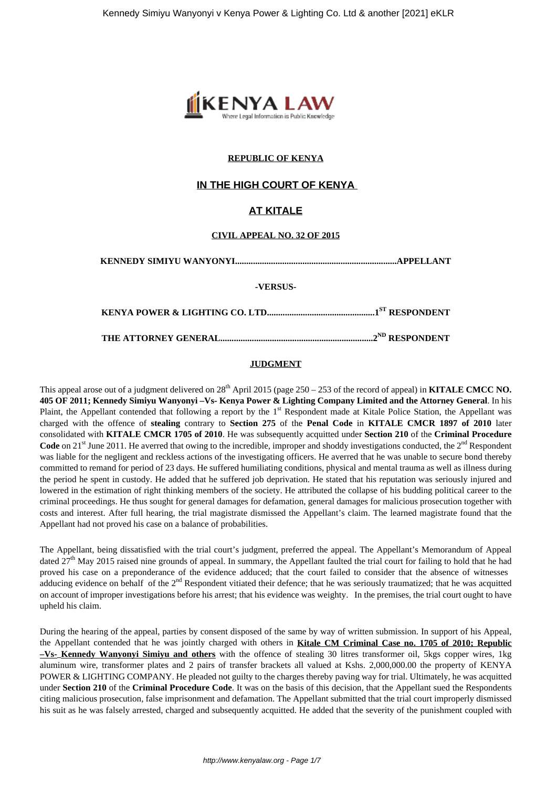

## **REPUBLIC OF KENYA**

# **IN THE HIGH COURT OF KENYA**

# **AT KITALE**

### **CIVIL APPEAL NO. 32 OF 2015**

**KENNEDY SIMIYU WANYONYI........................................................................APPELLANT**

**-VERSUS-**

**KENYA POWER & LIGHTING CO. LTD................................................1ST RESPONDENT**

**THE ATTORNEY GENERAL....................................................................2ND RESPONDENT**

### **JUDGMENT**

This appeal arose out of a judgment delivered on  $28<sup>th</sup>$  April 2015 (page  $250 - 253$  of the record of appeal) in **KITALE CMCC NO. 405 OF 2011; Kennedy Simiyu Wanyonyi –Vs- Kenya Power & Lighting Company Limited and the Attorney General**. In his Plaint, the Appellant contended that following a report by the  $1<sup>st</sup>$  Respondent made at Kitale Police Station, the Appellant was charged with the offence of **stealing** contrary to **Section 275** of the **Penal Code** in **KITALE CMCR 1897 of 2010** later consolidated with **KITALE CMCR 1705 of 2010**. He was subsequently acquitted under **Section 210** of the **Criminal Procedure Code** on 21<sup>st</sup> June 2011. He averred that owing to the incredible, improper and shoddy investigations conducted, the 2<sup>nd</sup> Respondent was liable for the negligent and reckless actions of the investigating officers. He averred that he was unable to secure bond thereby committed to remand for period of 23 days. He suffered humiliating conditions, physical and mental trauma as well as illness during the period he spent in custody. He added that he suffered job deprivation. He stated that his reputation was seriously injured and lowered in the estimation of right thinking members of the society. He attributed the collapse of his budding political career to the criminal proceedings. He thus sought for general damages for defamation, general damages for malicious prosecution together with costs and interest. After full hearing, the trial magistrate dismissed the Appellant's claim. The learned magistrate found that the Appellant had not proved his case on a balance of probabilities.

The Appellant, being dissatisfied with the trial court's judgment, preferred the appeal. The Appellant's Memorandum of Appeal dated  $27<sup>th</sup>$  May 2015 raised nine grounds of appeal. In summary, the Appellant faulted the trial court for failing to hold that he had proved his case on a preponderance of the evidence adduced; that the court failed to consider that the absence of witnesses adducing evidence on behalf of the  $2<sup>nd</sup>$  Respondent vitiated their defence; that he was seriously traumatized; that he was acquitted on account of improper investigations before his arrest; that his evidence was weighty. In the premises, the trial court ought to have upheld his claim.

During the hearing of the appeal, parties by consent disposed of the same by way of written submission. In support of his Appeal, the Appellant contended that he was jointly charged with others in **Kitale CM Criminal Case no. 1705 of 2010; Republic –Vs- Kennedy Wanyonyi Simiyu and others** with the offence of stealing 30 litres transformer oil, 5kgs copper wires, 1kg aluminum wire, transformer plates and 2 pairs of transfer brackets all valued at Kshs. 2,000,000.00 the property of KENYA POWER & LIGHTING COMPANY. He pleaded not guilty to the charges thereby paving way for trial. Ultimately, he was acquitted under **Section 210** of the **Criminal Procedure Code**. It was on the basis of this decision, that the Appellant sued the Respondents citing malicious prosecution, false imprisonment and defamation. The Appellant submitted that the trial court improperly dismissed his suit as he was falsely arrested, charged and subsequently acquitted. He added that the severity of the punishment coupled with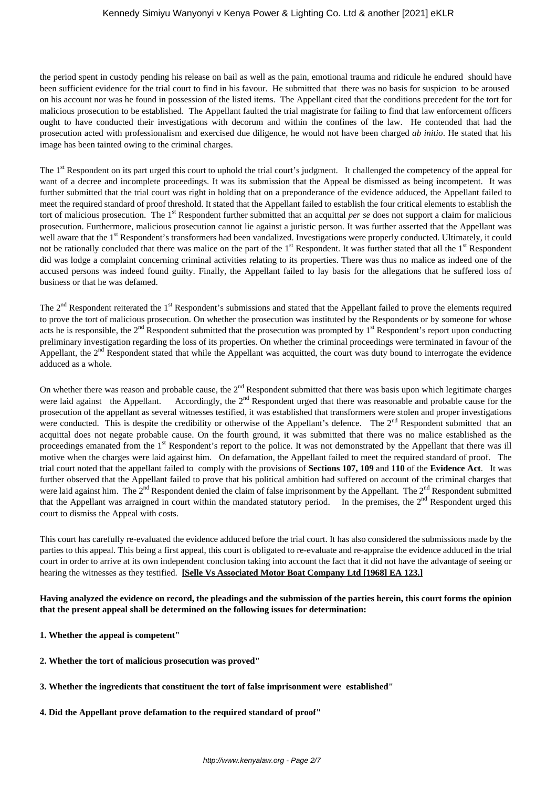the period spent in custody pending his release on bail as well as the pain, emotional trauma and ridicule he endured should have been sufficient evidence for the trial court to find in his favour. He submitted that there was no basis for suspicion to be aroused on his account nor was he found in possession of the listed items. The Appellant cited that the conditions precedent for the tort for malicious prosecution to be established. The Appellant faulted the trial magistrate for failing to find that law enforcement officers ought to have conducted their investigations with decorum and within the confines of the law. He contended that had the prosecution acted with professionalism and exercised due diligence, he would not have been charged *ab initio*. He stated that his image has been tainted owing to the criminal charges.

The 1<sup>st</sup> Respondent on its part urged this court to uphold the trial court's judgment. It challenged the competency of the appeal for want of a decree and incomplete proceedings. It was its submission that the Appeal be dismissed as being incompetent. It was further submitted that the trial court was right in holding that on a preponderance of the evidence adduced, the Appellant failed to meet the required standard of proof threshold. It stated that the Appellant failed to establish the four critical elements to establish the tort of malicious prosecution. The 1st Respondent further submitted that an acquittal *per se* does not support a claim for malicious prosecution. Furthermore, malicious prosecution cannot lie against a juristic person. It was further asserted that the Appellant was well aware that the 1<sup>st</sup> Respondent's transformers had been vandalized. Investigations were properly conducted. Ultimately, it could not be rationally concluded that there was malice on the part of the  $1<sup>st</sup>$  Respondent. It was further stated that all the  $1<sup>st</sup>$  Respondent did was lodge a complaint concerning criminal activities relating to its properties. There was thus no malice as indeed one of the accused persons was indeed found guilty. Finally, the Appellant failed to lay basis for the allegations that he suffered loss of business or that he was defamed.

The  $2<sup>nd</sup>$  Respondent reiterated the 1<sup>st</sup> Respondent's submissions and stated that the Appellant failed to prove the elements required to prove the tort of malicious prosecution. On whether the prosecution was instituted by the Respondents or by someone for whose acts he is responsible, the  $2<sup>nd</sup>$  Respondent submitted that the prosecution was prompted by  $1<sup>st</sup>$  Respondent's report upon conducting preliminary investigation regarding the loss of its properties. On whether the criminal proceedings were terminated in favour of the Appellant, the 2<sup>nd</sup> Respondent stated that while the Appellant was acquitted, the court was duty bound to interrogate the evidence adduced as a whole.

On whether there was reason and probable cause, the  $2<sup>nd</sup>$  Respondent submitted that there was basis upon which legitimate charges were laid against the Appellant. Accordingly, the 2<sup>nd</sup> Respondent urged that there was reasonable and probable cause for the prosecution of the appellant as several witnesses testified, it was established that transformers were stolen and proper investigations were conducted. This is despite the credibility or otherwise of the Appellant's defence. The 2<sup>nd</sup> Respondent submitted that an acquittal does not negate probable cause. On the fourth ground, it was submitted that there was no malice established as the proceedings emanated from the 1<sup>st</sup> Respondent's report to the police. It was not demonstrated by the Appellant that there was ill motive when the charges were laid against him. On defamation, the Appellant failed to meet the required standard of proof. The trial court noted that the appellant failed to comply with the provisions of **Sections 107, 109** and **110** of the **Evidence Act**. It was further observed that the Appellant failed to prove that his political ambition had suffered on account of the criminal charges that were laid against him. The  $2<sup>nd</sup>$  Respondent denied the claim of false imprisonment by the Appellant. The  $2<sup>nd</sup>$  Respondent submitted that the Appellant was arraigned in court within the mandated statutory period. In the premises, the  $2<sup>nd</sup>$  Respondent urged this court to dismiss the Appeal with costs.

This court has carefully re-evaluated the evidence adduced before the trial court. It has also considered the submissions made by the parties to this appeal. This being a first appeal, this court is obligated to re-evaluate and re-appraise the evidence adduced in the trial court in order to arrive at its own independent conclusion taking into account the fact that it did not have the advantage of seeing or hearing the witnesses as they testified. **[Selle Vs Associated Motor Boat Company Ltd [1968] EA 123.]**

## **Having analyzed the evidence on record, the pleadings and the submission of the parties herein, this court forms the opinion that the present appeal shall be determined on the following issues for determination:**

- **1. Whether the appeal is competent"**
- **2. Whether the tort of malicious prosecution was proved"**
- **3. Whether the ingredients that constituent the tort of false imprisonment were established"**
- **4. Did the Appellant prove defamation to the required standard of proof"**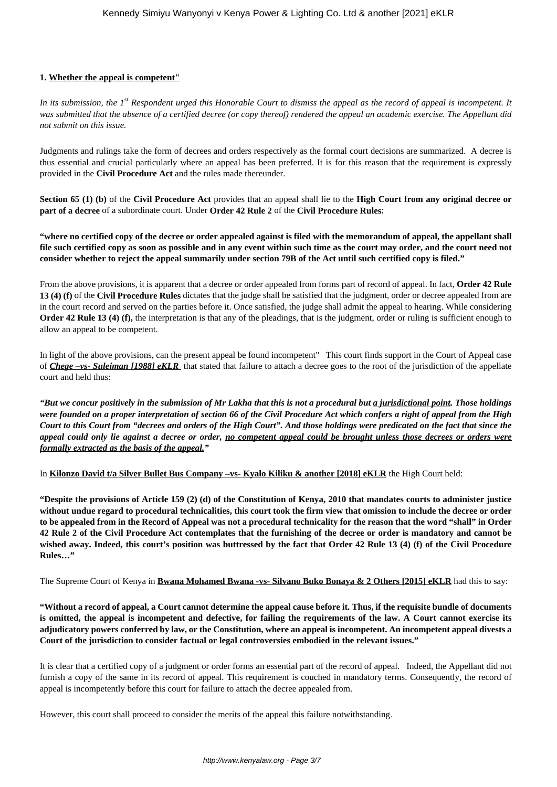### **1. Whether the appeal is competent"**

*In its submission, the 1st Respondent urged this Honorable Court to dismiss the appeal as the record of appeal is incompetent. It was submitted that the absence of a certified decree (or copy thereof) rendered the appeal an academic exercise. The Appellant did not submit on this issue.* 

Judgments and rulings take the form of decrees and orders respectively as the formal court decisions are summarized. A decree is thus essential and crucial particularly where an appeal has been preferred. It is for this reason that the requirement is expressly provided in the **Civil Procedure Act** and the rules made thereunder.

**Section 65 (1) (b)** of the **Civil Procedure Act** provides that an appeal shall lie to the **High Court from any original decree or part of a decree** of a subordinate court. Under **Order 42 Rule 2** of the **Civil Procedure Rules**;

**"where no certified copy of the decree or order appealed against is filed with the memorandum of appeal, the appellant shall file such certified copy as soon as possible and in any event within such time as the court may order, and the court need not consider whether to reject the appeal summarily under section 79B of the Act until such certified copy is filed."**

From the above provisions, it is apparent that a decree or order appealed from forms part of record of appeal. In fact, **Order 42 Rule 13 (4) (f)** of the **Civil Procedure Rules** dictates that the judge shall be satisfied that the judgment, order or decree appealed from are in the court record and served on the parties before it. Once satisfied, the judge shall admit the appeal to hearing. While considering **Order 42 Rule 13 (4) (f),** the interpretation is that any of the pleadings, that is the judgment, order or ruling is sufficient enough to allow an appeal to be competent.

In light of the above provisions, can the present appeal be found incompetent" This court finds support in the Court of Appeal case of *Chege –vs- Suleiman [1988] eKLR* that stated that failure to attach a decree goes to the root of the jurisdiction of the appellate court and held thus:

*"But we concur positively in the submission of Mr Lakha that this is not a procedural but a jurisdictional point. Those holdings were founded on a proper interpretation of section 66 of the Civil Procedure Act which confers a right of appeal from the High Court to this Court from "decrees and orders of the High Court". And those holdings were predicated on the fact that since the appeal could only lie against a decree or order, no competent appeal could be brought unless those decrees or orders were formally extracted as the basis of the appeal."*

In **Kilonzo David t/a Silver Bullet Bus Company –vs- Kyalo Kiliku & another [2018] eKLR** the High Court held:

**"Despite the provisions of Article 159 (2) (d) of the Constitution of Kenya, 2010 that mandates courts to administer justice without undue regard to procedural technicalities, this court took the firm view that omission to include the decree or order to be appealed from in the Record of Appeal was not a procedural technicality for the reason that the word "shall" in Order 42 Rule 2 of the Civil Procedure Act contemplates that the furnishing of the decree or order is mandatory and cannot be wished away. Indeed, this court's position was buttressed by the fact that Order 42 Rule 13 (4) (f) of the Civil Procedure Rules…"**

The Supreme Court of Kenya in **Bwana Mohamed Bwana -vs- Silvano Buko Bonaya & 2 Others [2015] eKLR** had this to say:

**"Without a record of appeal, a Court cannot determine the appeal cause before it. Thus, if the requisite bundle of documents is omitted, the appeal is incompetent and defective, for failing the requirements of the law. A Court cannot exercise its adjudicatory powers conferred by law, or the Constitution, where an appeal is incompetent. An incompetent appeal divests a Court of the jurisdiction to consider factual or legal controversies embodied in the relevant issues."**

It is clear that a certified copy of a judgment or order forms an essential part of the record of appeal. Indeed, the Appellant did not furnish a copy of the same in its record of appeal. This requirement is couched in mandatory terms. Consequently, the record of appeal is incompetently before this court for failure to attach the decree appealed from.

However, this court shall proceed to consider the merits of the appeal this failure notwithstanding.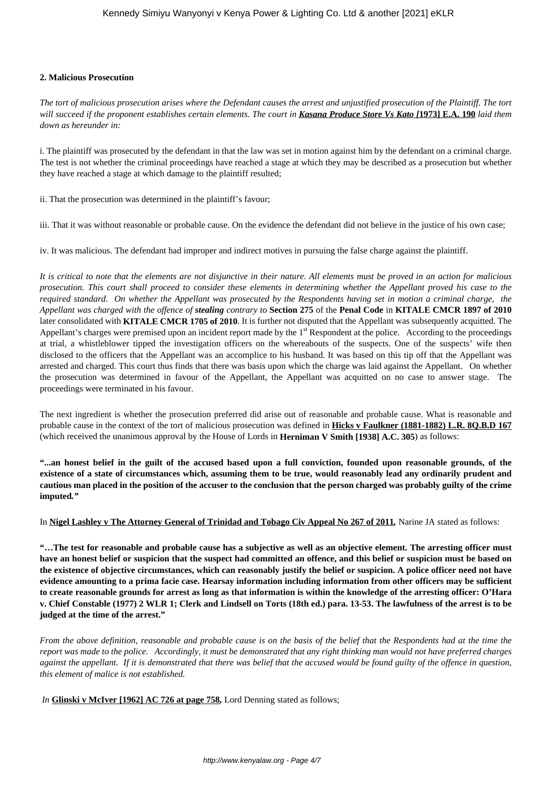### **2. Malicious Prosecution**

*The tort of malicious prosecution arises where the Defendant causes the arrest and unjustified prosecution of the Plaintiff. The tort will succeed if the proponent establishes certain elements. The court in Kasana Produce Store Vs Kato [***1973] E.A. 190** *laid them down as hereunder in:*

i. The plaintiff was prosecuted by the defendant in that the law was set in motion against him by the defendant on a criminal charge. The test is not whether the criminal proceedings have reached a stage at which they may be described as a prosecution but whether they have reached a stage at which damage to the plaintiff resulted;

ii. That the prosecution was determined in the plaintiff's favour;

iii. That it was without reasonable or probable cause. On the evidence the defendant did not believe in the justice of his own case;

iv. It was malicious. The defendant had improper and indirect motives in pursuing the false charge against the plaintiff.

*It is critical to note that the elements are not disjunctive in their nature. All elements must be proved in an action for malicious prosecution. This court shall proceed to consider these elements in determining whether the Appellant proved his case to the required standard. On whether the Appellant was prosecuted by the Respondents having set in motion a criminal charge, the Appellant was charged with the offence of stealing contrary to* **Section 275** of the **Penal Code** in **KITALE CMCR 1897 of 2010** later consolidated with **KITALE CMCR 1705 of 2010**. It is further not disputed that the Appellant was subsequently acquitted. The Appellant's charges were premised upon an incident report made by the 1<sup>st</sup> Respondent at the police. According to the proceedings at trial, a whistleblower tipped the investigation officers on the whereabouts of the suspects. One of the suspects' wife then disclosed to the officers that the Appellant was an accomplice to his husband. It was based on this tip off that the Appellant was arrested and charged. This court thus finds that there was basis upon which the charge was laid against the Appellant. On whether the prosecution was determined in favour of the Appellant, the Appellant was acquitted on no case to answer stage. The proceedings were terminated in his favour.

The next ingredient is whether the prosecution preferred did arise out of reasonable and probable cause. What is reasonable and probable cause in the context of the tort of malicious prosecution was defined in **Hicks v Faulkner (1881-1882) L.R. 8Q.B.D 167** (which received the unanimous approval by the House of Lords in **Herniman V Smith [1938] A.C. 305**) as follows:

**"...an honest belief in the guilt of the accused based upon a full conviction, founded upon reasonable grounds, of the existence of a state of circumstances which, assuming them to be true, would reasonably lead any ordinarily prudent and cautious man placed in the position of the accuser to the conclusion that the person charged was probably guilty of the crime imputed***."*

In **Nigel Lashley v The Attorney General of Trinidad and Tobago Civ Appeal No 267 of 2011***,* Narine JA stated as follows:

**"…The test for reasonable and probable cause has a subjective as well as an objective element. The arresting officer must have an honest belief or suspicion that the suspect had committed an offence, and this belief or suspicion must be based on the existence of objective circumstances, which can reasonably justify the belief or suspicion. A police officer need not have evidence amounting to a prima facie case. Hearsay information including information from other officers may be sufficient to create reasonable grounds for arrest as long as that information is within the knowledge of the arresting officer: O'Hara v. Chief Constable (1977) 2 WLR 1; Clerk and Lindsell on Torts (18th ed.) para. 13-53. The lawfulness of the arrest is to be judged at the time of the arrest."**

*From the above definition, reasonable and probable cause is on the basis of the belief that the Respondents had at the time the report was made to the police. Accordingly, it must be demonstrated that any right thinking man would not have preferred charges against the appellant. If it is demonstrated that there was belief that the accused would be found guilty of the offence in question, this element of malice is not established.* 

*In* **Glinski v McIver [1962] AC 726 at page 758***,* Lord Denning stated as follows;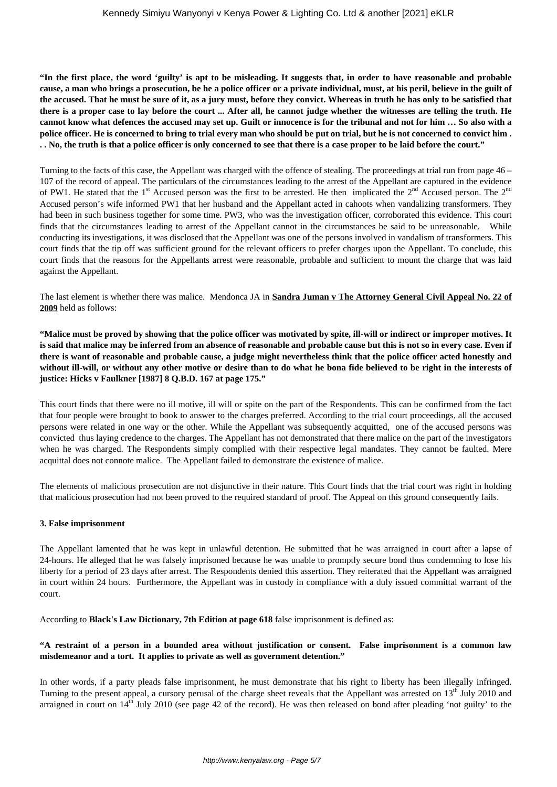**"In the first place, the word 'guilty' is apt to be misleading. It suggests that, in order to have reasonable and probable cause, a man who brings a prosecution, be he a police officer or a private individual, must, at his peril, believe in the guilt of the accused. That he must be sure of it, as a jury must, before they convict. Whereas in truth he has only to be satisfied that there is a proper case to lay before the court ... After all, he cannot judge whether the witnesses are telling the truth. He cannot know what defences the accused may set up. Guilt or innocence is for the tribunal and not for him … So also with a police officer. He is concerned to bring to trial every man who should be put on trial, but he is not concerned to convict him . . . No, the truth is that a police officer is only concerned to see that there is a case proper to be laid before the court."**

Turning to the facts of this case, the Appellant was charged with the offence of stealing. The proceedings at trial run from page 46 – 107 of the record of appeal. The particulars of the circumstances leading to the arrest of the Appellant are captured in the evidence of PW1. He stated that the 1<sup>st</sup> Accused person was the first to be arrested. He then implicated the  $2<sup>nd</sup>$  Accused person. The  $2<sup>nd</sup>$ Accused person's wife informed PW1 that her husband and the Appellant acted in cahoots when vandalizing transformers. They had been in such business together for some time. PW3, who was the investigation officer, corroborated this evidence. This court finds that the circumstances leading to arrest of the Appellant cannot in the circumstances be said to be unreasonable. While conducting its investigations, it was disclosed that the Appellant was one of the persons involved in vandalism of transformers. This court finds that the tip off was sufficient ground for the relevant officers to prefer charges upon the Appellant. To conclude, this court finds that the reasons for the Appellants arrest were reasonable, probable and sufficient to mount the charge that was laid against the Appellant.

The last element is whether there was malice. Mendonca JA in **Sandra Juman v The Attorney General Civil Appeal No. 22 of 2009** held as follows:

**"Malice must be proved by showing that the police officer was motivated by spite, ill-will or indirect or improper motives. It is said that malice may be inferred from an absence of reasonable and probable cause but this is not so in every case. Even if there is want of reasonable and probable cause, a judge might nevertheless think that the police officer acted honestly and without ill-will, or without any other motive or desire than to do what he bona fide believed to be right in the interests of justice: Hicks v Faulkner [1987] 8 Q.B.D. 167 at page 175."**

This court finds that there were no ill motive, ill will or spite on the part of the Respondents. This can be confirmed from the fact that four people were brought to book to answer to the charges preferred. According to the trial court proceedings, all the accused persons were related in one way or the other. While the Appellant was subsequently acquitted, one of the accused persons was convicted thus laying credence to the charges. The Appellant has not demonstrated that there malice on the part of the investigators when he was charged. The Respondents simply complied with their respective legal mandates. They cannot be faulted. Mere acquittal does not connote malice. The Appellant failed to demonstrate the existence of malice.

The elements of malicious prosecution are not disjunctive in their nature. This Court finds that the trial court was right in holding that malicious prosecution had not been proved to the required standard of proof. The Appeal on this ground consequently fails.

### **3. False imprisonment**

The Appellant lamented that he was kept in unlawful detention. He submitted that he was arraigned in court after a lapse of 24-hours. He alleged that he was falsely imprisoned because he was unable to promptly secure bond thus condemning to lose his liberty for a period of 23 days after arrest. The Respondents denied this assertion. They reiterated that the Appellant was arraigned in court within 24 hours. Furthermore, the Appellant was in custody in compliance with a duly issued committal warrant of the court.

According to **Black's Law Dictionary, 7th Edition at page 618** false imprisonment is defined as:

### **"A restraint of a person in a bounded area without justification or consent. False imprisonment is a common law misdemeanor and a tort. It applies to private as well as government detention."**

In other words, if a party pleads false imprisonment, he must demonstrate that his right to liberty has been illegally infringed. Turning to the present appeal, a cursory perusal of the charge sheet reveals that the Appellant was arrested on  $13<sup>th</sup>$  July 2010 and arraigned in court on  $14<sup>th</sup>$  July 2010 (see page 42 of the record). He was then released on bond after pleading 'not guilty' to the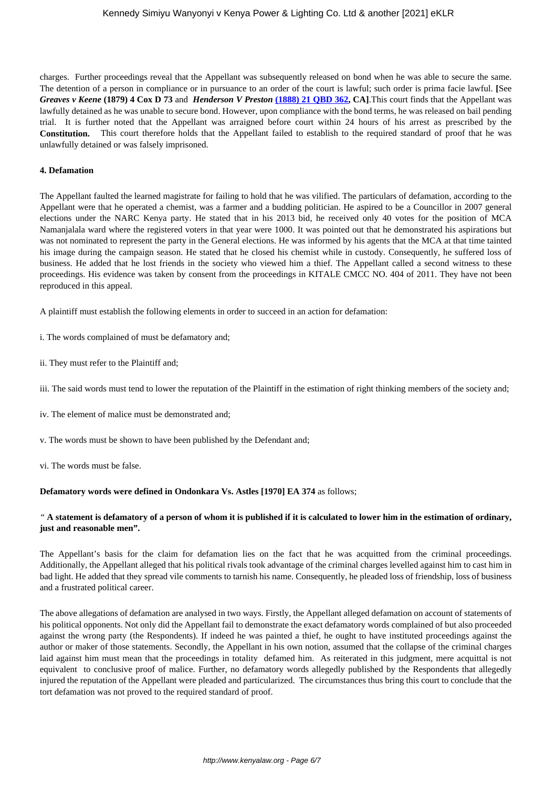charges. Further proceedings reveal that the Appellant was subsequently released on bond when he was able to secure the same. The detention of a person in compliance or in pursuance to an order of the court is lawful; such order is prima facie lawful. **[**See *Greaves v Keene* **(1879) 4 Cox D 73** and *Henderson V Preston* **[\(1888\) 21 QBD 362](https://www.lexisnexis.com/uk/legal/search/enhRunRemoteLink.do"linkInfo=F%23GB%23QBD%23sel1%251888%25vol%2521%25year%251888%25page%25362%25sel2%2521%25&A=0.7242000131561183&backKey=20_T371590434&service=citation&ersKey=23_T371276026&langcountry=GB), CA]**.This court finds that the Appellant was lawfully detained as he was unable to secure bond. However, upon compliance with the bond terms, he was released on bail pending trial. It is further noted that the Appellant was arraigned before court within 24 hours of his arrest as prescribed by the **Constitution.** This court therefore holds that the Appellant failed to establish to the required standard of proof that he was unlawfully detained or was falsely imprisoned.

#### **4. Defamation**

The Appellant faulted the learned magistrate for failing to hold that he was vilified. The particulars of defamation, according to the Appellant were that he operated a chemist, was a farmer and a budding politician. He aspired to be a Councillor in 2007 general elections under the NARC Kenya party. He stated that in his 2013 bid, he received only 40 votes for the position of MCA Namanjalala ward where the registered voters in that year were 1000. It was pointed out that he demonstrated his aspirations but was not nominated to represent the party in the General elections. He was informed by his agents that the MCA at that time tainted his image during the campaign season. He stated that he closed his chemist while in custody. Consequently, he suffered loss of business. He added that he lost friends in the society who viewed him a thief. The Appellant called a second witness to these proceedings. His evidence was taken by consent from the proceedings in KITALE CMCC NO. 404 of 2011. They have not been reproduced in this appeal.

A plaintiff must establish the following elements in order to succeed in an action for defamation:

i. The words complained of must be defamatory and;

ii. They must refer to the Plaintiff and;

iii. The said words must tend to lower the reputation of the Plaintiff in the estimation of right thinking members of the society and;

- iv. The element of malice must be demonstrated and;
- v. The words must be shown to have been published by the Defendant and;

vi. The words must be false.

### **Defamatory words were defined in Ondonkara Vs. Astles [1970] EA 374** as follows;

## *"* **A statement is defamatory of a person of whom it is published if it is calculated to lower him in the estimation of ordinary, just and reasonable men".**

The Appellant's basis for the claim for defamation lies on the fact that he was acquitted from the criminal proceedings. Additionally, the Appellant alleged that his political rivals took advantage of the criminal charges levelled against him to cast him in bad light. He added that they spread vile comments to tarnish his name. Consequently, he pleaded loss of friendship, loss of business and a frustrated political career.

The above allegations of defamation are analysed in two ways. Firstly, the Appellant alleged defamation on account of statements of his political opponents. Not only did the Appellant fail to demonstrate the exact defamatory words complained of but also proceeded against the wrong party (the Respondents). If indeed he was painted a thief, he ought to have instituted proceedings against the author or maker of those statements. Secondly, the Appellant in his own notion, assumed that the collapse of the criminal charges laid against him must mean that the proceedings in totality defamed him. As reiterated in this judgment, mere acquittal is not equivalent to conclusive proof of malice. Further, no defamatory words allegedly published by the Respondents that allegedly injured the reputation of the Appellant were pleaded and particularized. The circumstances thus bring this court to conclude that the tort defamation was not proved to the required standard of proof.